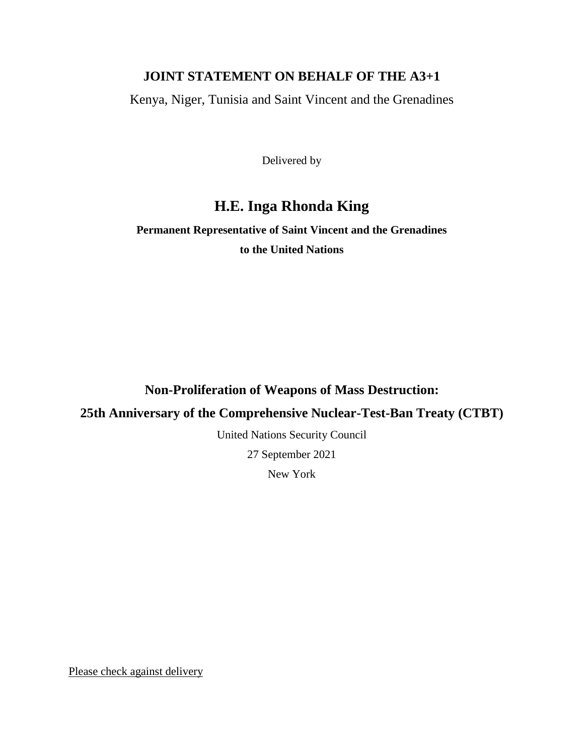## **JOINT STATEMENT ON BEHALF OF THE A3+1**

Kenya, Niger, Tunisia and Saint Vincent and the Grenadines

Delivered by

# **H.E. Inga Rhonda King**

# **Permanent Representative of Saint Vincent and the Grenadines to the United Nations**

### **Non-Proliferation of Weapons of Mass Destruction:**

#### **25th Anniversary of the Comprehensive Nuclear-Test-Ban Treaty (CTBT)**

United Nations Security Council

27 September 2021

New York

Please check against delivery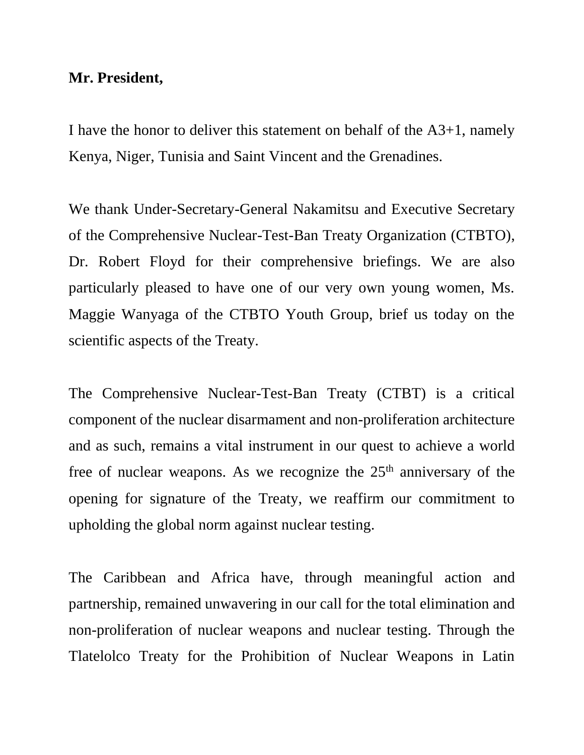### **Mr. President,**

I have the honor to deliver this statement on behalf of the A3+1, namely Kenya, Niger, Tunisia and Saint Vincent and the Grenadines.

We thank Under-Secretary-General Nakamitsu and Executive Secretary of the Comprehensive Nuclear-Test-Ban Treaty Organization (CTBTO), Dr. Robert Floyd for their comprehensive briefings. We are also particularly pleased to have one of our very own young women, Ms. Maggie Wanyaga of the CTBTO Youth Group, brief us today on the scientific aspects of the Treaty.

The Comprehensive Nuclear-Test-Ban Treaty (CTBT) is a critical component of the nuclear disarmament and non-proliferation architecture and as such, remains a vital instrument in our quest to achieve a world free of nuclear weapons. As we recognize the  $25<sup>th</sup>$  anniversary of the opening for signature of the Treaty, we reaffirm our commitment to upholding the global norm against nuclear testing.

The Caribbean and Africa have, through meaningful action and partnership, remained unwavering in our call for the total elimination and non-proliferation of nuclear weapons and nuclear testing. Through the Tlatelolco Treaty for the Prohibition of Nuclear Weapons in Latin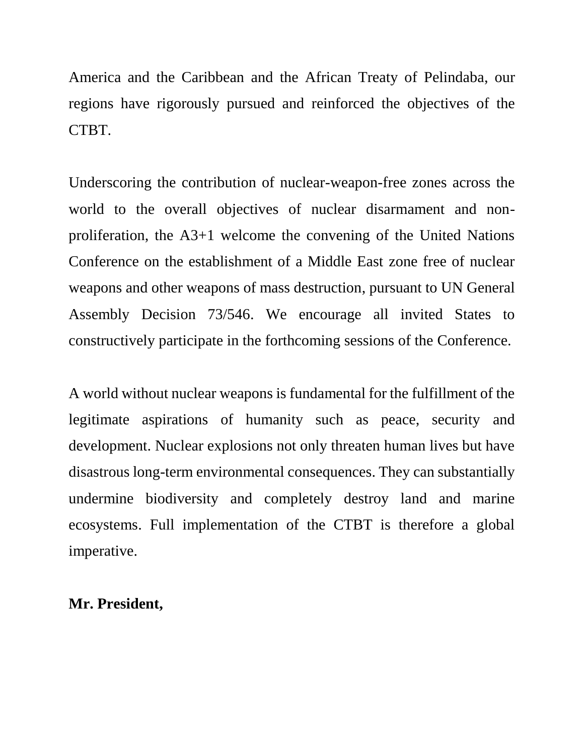America and the Caribbean and the African Treaty of Pelindaba, our regions have rigorously pursued and reinforced the objectives of the CTBT.

Underscoring the contribution of nuclear-weapon-free zones across the world to the overall objectives of nuclear disarmament and nonproliferation, the A3+1 welcome the convening of the United Nations Conference on the establishment of a Middle East zone free of nuclear weapons and other weapons of mass destruction, pursuant to UN General Assembly Decision 73/546. We encourage all invited States to constructively participate in the forthcoming sessions of the Conference.

A world without nuclear weapons is fundamental for the fulfillment of the legitimate aspirations of humanity such as peace, security and development. Nuclear explosions not only threaten human lives but have disastrous long-term environmental consequences. They can substantially undermine biodiversity and completely destroy land and marine ecosystems. Full implementation of the CTBT is therefore a global imperative.

# **Mr. President,**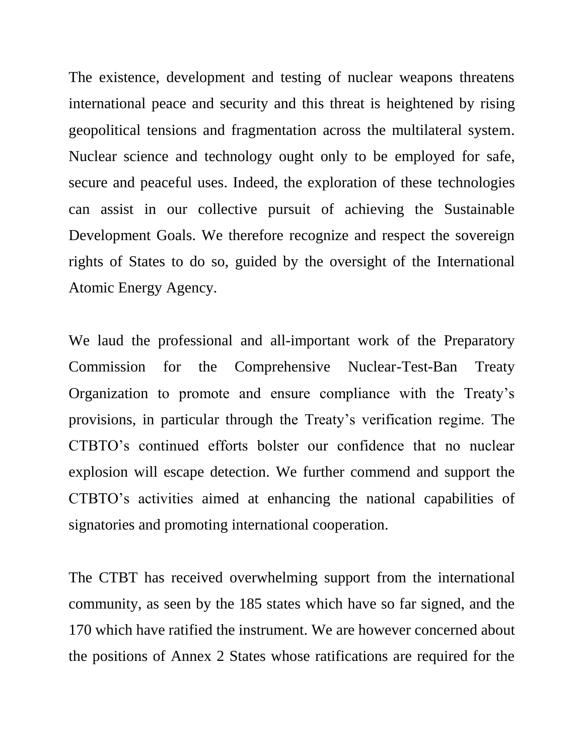The existence, development and testing of nuclear weapons threatens international peace and security and this threat is heightened by rising geopolitical tensions and fragmentation across the multilateral system. Nuclear science and technology ought only to be employed for safe, secure and peaceful uses. Indeed, the exploration of these technologies can assist in our collective pursuit of achieving the Sustainable Development Goals. We therefore recognize and respect the sovereign rights of States to do so, guided by the oversight of the International Atomic Energy Agency.

We laud the professional and all-important work of the Preparatory Commission for the Comprehensive Nuclear-Test-Ban Treaty Organization to promote and ensure compliance with the Treaty's provisions, in particular through the Treaty's verification regime. The CTBTO's continued efforts bolster our confidence that no nuclear explosion will escape detection. We further commend and support the CTBTO's activities aimed at enhancing the national capabilities of signatories and promoting international cooperation.

The CTBT has received overwhelming support from the international community, as seen by the 185 states which have so far signed, and the 170 which have ratified the instrument. We are however concerned about the positions of Annex 2 States whose ratifications are required for the